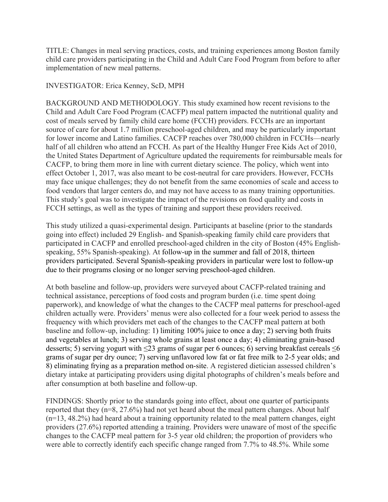TITLE: Changes in meal serving practices, costs, and training experiences among Boston family child care providers participating in the Child and Adult Care Food Program from before to after implementation of new meal patterns.

## INVESTIGATOR: Erica Kenney, ScD, MPH

BACKGROUND AND METHODOLOGY. This study examined how recent revisions to the Child and Adult Care Food Program (CACFP) meal pattern impacted the nutritional quality and cost of meals served by family child care home (FCCH) providers. FCCHs are an important source of care for about 1.7 million preschool-aged children, and may be particularly important for lower income and Latino families. CACFP reaches over 780,000 children in FCCHs—nearly half of all children who attend an FCCH. As part of the Healthy Hunger Free Kids Act of 2010, the United States Department of Agriculture updated the requirements for reimbursable meals for CACFP, to bring them more in line with current dietary science. The policy, which went into effect October 1, 2017, was also meant to be cost-neutral for care providers. However, FCCHs may face unique challenges; they do not benefit from the same economies of scale and access to food vendors that larger centers do, and may not have access to as many training opportunities. This study's goal was to investigate the impact of the revisions on food quality and costs in FCCH settings, as well as the types of training and support these providers received.

This study utilized a quasi-experimental design. Participants at baseline (prior to the standards going into effect) included 29 English- and Spanish-speaking family child care providers that participated in CACFP and enrolled preschool-aged children in the city of Boston (45% Englishspeaking, 55% Spanish-speaking). At follow-up in the summer and fall of 2018, thirteen providers participated. Several Spanish-speaking providers in particular were lost to follow-up due to their programs closing or no longer serving preschool-aged children.

At both baseline and follow-up, providers were surveyed about CACFP-related training and technical assistance, perceptions of food costs and program burden (i.e. time spent doing paperwork), and knowledge of what the changes to the CACFP meal patterns for preschool-aged children actually were. Providers' menus were also collected for a four week period to assess the frequency with which providers met each of the changes to the CACFP meal pattern at both baseline and follow-up, including: 1) limiting 100% juice to once a day; 2) serving both fruits and vegetables at lunch; 3) serving whole grains at least once a day; 4) eliminating grain-based desserts; 5) serving yogurt with  $\leq$ 23 grams of sugar per 6 ounces; 6) serving breakfast cereals  $\leq$ 6 grams of sugar per dry ounce; 7) serving unflavored low fat or fat free milk to 2-5 year olds; and 8) eliminating frying as a preparation method on-site. A registered dietician assessed children's dietary intake at participating providers using digital photographs of children's meals before and after consumption at both baseline and follow-up.

FINDINGS: Shortly prior to the standards going into effect, about one quarter of participants reported that they (n=8, 27.6%) had not yet heard about the meal pattern changes. About half (n=13, 48.2%) had heard about a training opportunity related to the meal pattern changes, eight providers (27.6%) reported attending a training. Providers were unaware of most of the specific changes to the CACFP meal pattern for 3-5 year old children; the proportion of providers who were able to correctly identify each specific change ranged from 7.7% to 48.5%. While some